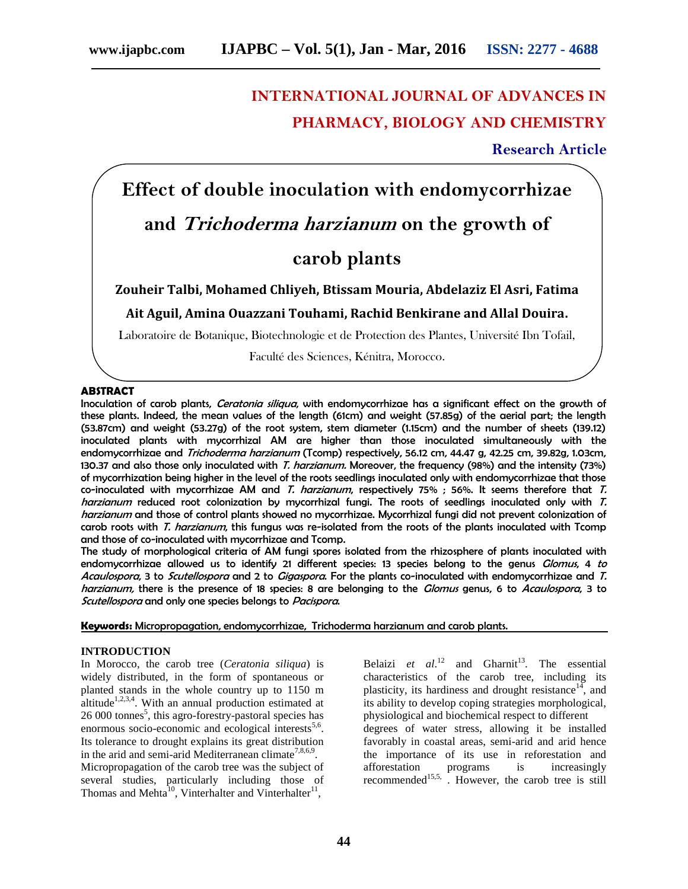# **INTERNATIONAL JOURNAL OF ADVANCES IN PHARMACY, BIOLOGY AND CHEMISTRY**

**Research Article**

# **Effect of double inoculation with endomycorrhizae**

# **and** *Trichoderma harzianum* **on the growth of**

# **carob plants**

**Zouheir Talbi, Mohamed Chliyeh, Btissam Mouria, Abdelaziz El Asri, Fatima**

**Ait Aguil, Amina Ouazzani Touhami, Rachid Benkirane and Allal Douira.**

Laboratoire de Botanique, Biotechnologie et de Protection des Plantes, Université Ibn Tofail,

Faculté des Sciences, Kénitra, Morocco.

#### **ABSTRACT**

Inoculation of carob plants, *Ceratonia siliqua*, with endomycorrhizae has a significant effect on the growth of these plants. Indeed, the mean values of the length (61cm) and weight (57.85g) of the aerial part; the length (53.87cm) and weight (53.27g) of the root system, stem diameter (1.15cm) and the number of sheets (139.12) inoculated plants with mycorrhizal AM are higher than those inoculated simultaneously with the endomycorrhizae and *Trichoderma harzianum* (Tcomp) respectively, 56.12 cm, 44.47 g, 42.25 cm, 39.82g, 1.03cm, 130.37 and also those only inoculated with *T. harzianum.* Moreover, the frequency (98%) and the intensity (73%) of mycorrhization being higher in the level of the roots seedlings inoculated only with endomycorrhizae that those co-inoculated with mycorrhizae AM and *T. harzianum*, respectively 75% ; 56%. It seems therefore that *T. harzianum* reduced root colonization by mycorrhizal fungi. The roots of seedlings inoculated only with *T. harzianum* and those of control plants showed no mycorrhizae. Mycorrhizal fungi did not prevent colonization of carob roots with *T. harzianum*, this fungus was re-isolated from the roots of the plants inoculated with Tcomp and those of co-inoculated with mycorrhizae and Tcomp.

The study of morphological criteria of AM fungi spores isolated from the rhizosphere of plants inoculated with endomycorrhizae allowed us to identify 21 different species: 13 species belong to the genus *Glomus*, 4 *to Acaulospora*, 3 to *Scutellospora* and 2 to *Gigaspora*. For the plants co-inoculated with endomycorrhizae and *T. harzianum,* there is the presence of 18 species: 8 are belonging to the *Glomus* genus, 6 to *Acaulospora*, 3 to *Scutellospora* and only one species belongs to *Pacispora*.

**Keywords:** Micropropagation, endomycorrhizae, Trichoderma harzianum and carob plants.

### **INTRODUCTION**

In Morocco, the carob tree (*Ceratonia siliqua*) is widely distributed, in the form of spontaneous or planted stands in the whole country up to 1150 m altitude<sup>1,2,3,4</sup>. With an annual production estimated at 26 000 tonnes<sup>5</sup>, this agro-forestry-pastoral species has enormous socio-economic and ecological interests<sup>5,6</sup>. Its tolerance to drought explains its great distribution in the arid and semi-arid Mediterranean climate<sup>7,8,6,9</sup>. Micropropagation of the carob tree was the subject of several studies, particularly including those of Thomas and Mehta $^{10}$ , Vinterhalter and Vinterhalter<sup>1</sup> ,

Belaizi *et al.*<sup>12</sup> and Gharnit<sup>13</sup>. The essential characteristics of the carob tree, including its plasticity, its hardiness and drought resistance<sup>14</sup>, and its ability to develop coping strategies morphological, physiological and biochemical respect to different

degrees of water stress, allowing it be installed favorably in coastal areas, semi-arid and arid hence the importance of its use in reforestation and afforestation programs is increasingly recommended<sup>15,5,</sup> . However, the carob tree is still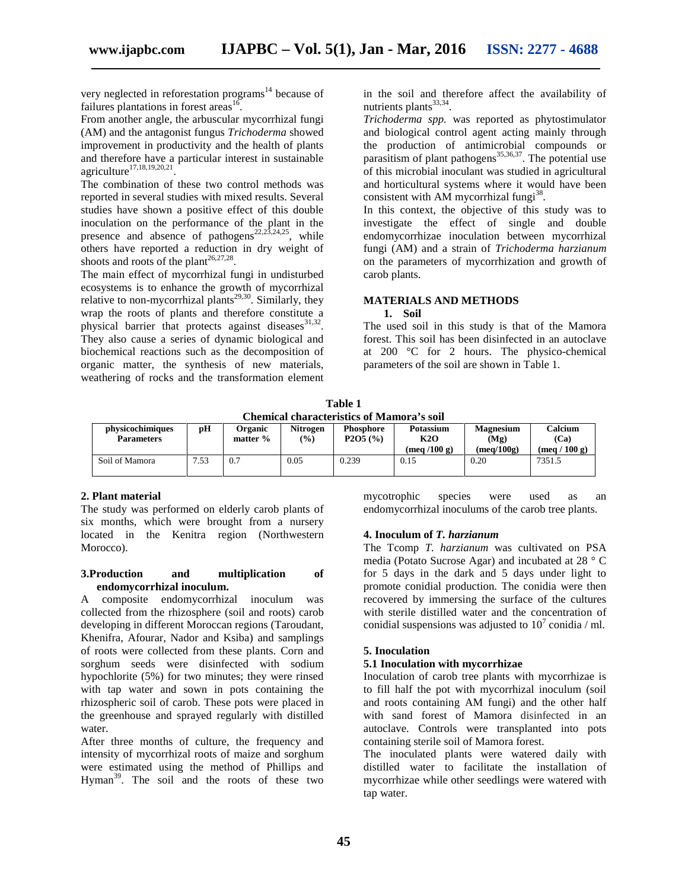very neglected in reforestation programs<sup>14</sup> because of failures plantations in forest areas<sup>16</sup> .

From another angle, the arbuscular mycorrhizal fungi (AM) and the antagonist fungus *Trichoderma* showed improvement in productivity and the health of plants and therefore have a particular interest in sustainable agriculture $17,18,19,20,21$ . .

The combination of these two control methods was reported in several studies with mixed results. Several studies have shown a positive effect of this double inoculation on the performance of the plant in the presence and absence of pathogens<sup>22,23,24,25</sup>, while others have reported a reduction in dry weight of shoots and roots of the plant<sup>26,27,28</sup>.

The main effect of mycorrhizal fungi in undisturbed ecosystems is to enhance the growth of mycorrhizal relative to non-mycorrhizal plants<sup>29,30</sup>. Similarly, they wrap the roots of plants and therefore constitute a physical barrier that protects against diseases<sup>31,32</sup>. They also cause a series of dynamic biological and biochemical reactions such as the decomposition of organic matter, the synthesis of new materials, weathering of rocks and the transformation element

in the soil and therefore affect the availability of nutrients plants<sup>33,34</sup>.

*Trichoderma spp.* was reported as phytostimulator and biological control agent acting mainly through the production of antimicrobial compounds or parasitism of plant pathogens<sup>35,36,37</sup>. The potential use of this microbial inoculant was studied in agricultural and horticultural systems where it would have been consistent with AM mycorrhizal fungi<sup>38</sup>.

In this context, the objective of this study was to investigate the effect of single and double endomycorrhizae inoculation between mycorrhizal fungi (AM) and a strain of *Trichoderma harzianum* on the parameters of mycorrhization and growth of carob plants.

# **MATERIALS AND METHODS**

#### **1. Soil**

The used soil in this study is that of the Mamora forest. This soil has been disinfected in an autoclave at 200 °C for 2 hours. The physico-chemical parameters of the soil are shown in Table 1.

**Table 1 Chemical characteristics of Mamora's soil**

| physicochimiques<br><b>Parameters</b> | pH   | Organic<br>matter $%$ | <b>Nitrogen</b><br>$\frac{9}{0}$ | <b>Phosphore</b><br>P2O5(%) | Potassium<br>K2O             | <b>Magnesium</b><br>(Mg) | Calcium<br>(Ca) |  |
|---------------------------------------|------|-----------------------|----------------------------------|-----------------------------|------------------------------|--------------------------|-----------------|--|
|                                       |      |                       |                                  |                             | $(\text{mea}/100 \text{ g})$ | (mea/100g)               | 100 g<br>(mea / |  |
| Soil of Mamora                        | 7.53 | O.                    | 0.05                             | 0.239                       | 0.15                         | 0.20                     | 7351.5          |  |

#### **2. Plant material**

The study was performed on elderly carob plants of six months, which were brought from a nursery located in the Kenitra region (Northwestern Morocco).

#### **3.Production and multiplication of endomycorrhizal inoculum.**

A composite endomycorrhizal inoculum was collected from the rhizosphere (soil and roots) carob developing in different Moroccan regions (Taroudant, Khenifra, Afourar, Nador and Ksiba) and samplings of roots were collected from these plants. Corn and sorghum seeds were disinfected with sodium hypochlorite (5%) for two minutes; they were rinsed with tap water and sown in pots containing the rhizospheric soil of carob. These pots were placed in the greenhouse and sprayed regularly with distilled water.

After three months of culture, the frequency and intensity of mycorrhizal roots of maize and sorghum were estimated using the method of Phillips and Hyman<sup>39</sup>. The soil and the roots of these two

mycotrophic species were used as an endomycorrhizal inoculums of the carob tree plants.

#### **4. Inoculum of** *T. harzianum*

The Tcomp *T. harzianum* was cultivated on PSA media (Potato Sucrose Agar) and incubated at 28 ° C for 5 days in the dark and 5 days under light to promote conidial production. The conidia were then recovered by immersing the surface of the cultures with sterile distilled water and the concentration of conidial suspensions was adjusted to  $10^7$  conidia / ml.

# **5. Inoculation**

# **5.1 Inoculation with mycorrhizae**

Inoculation of carob tree plants with mycorrhizae is to fill half the pot with mycorrhizal inoculum (soil and roots containing AM fungi) and the other half with sand forest of Mamora disinfected in an autoclave. Controls were transplanted into pots containing sterile soil of Mamora forest.

The inoculated plants were watered daily with distilled water to facilitate the installation of mycorrhizae while other seedlings were watered with tap water.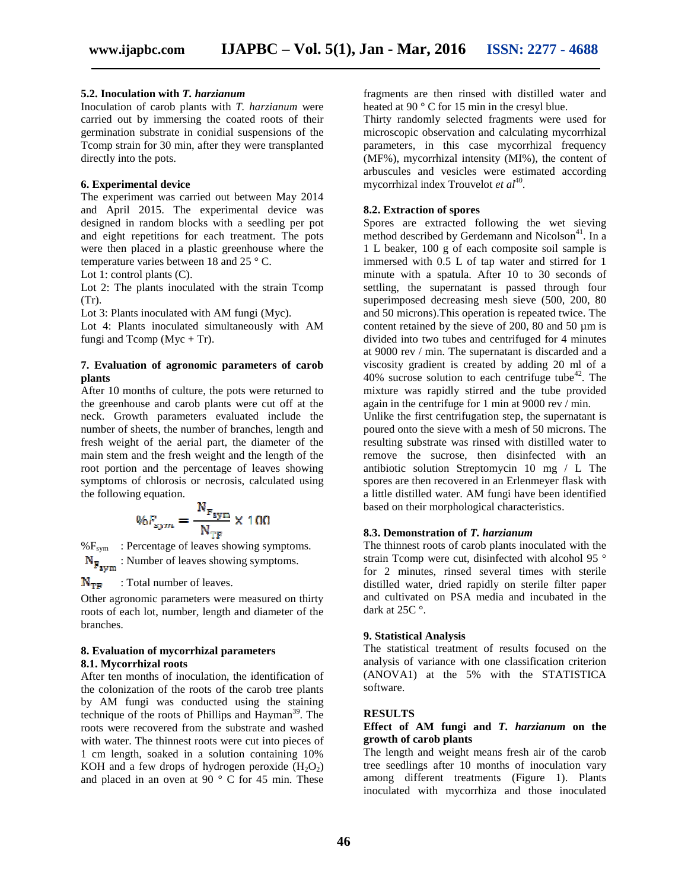### **5.2. Inoculation with** *T. harzianum*

Inoculation of carob plants with *T. harzianum* were carried out by immersing the coated roots of their germination substrate in conidial suspensions of the Tcomp strain for 30 min, after they were transplanted directly into the pots.

# **6. Experimental device**

The experiment was carried out between May 2014 and April 2015. The experimental device was designed in random blocks with a seedling per pot and eight repetitions for each treatment. The pots were then placed in a plastic greenhouse where the temperature varies between 18 and 25 ° C.

Lot 1: control plants (C).

Lot 2: The plants inoculated with the strain Tcomp (Tr).

Lot 3: Plants inoculated with AM fungi (Myc).

Lot 4: Plants inoculated simultaneously with AM fungi and Tcomp ( $Myc + Tr$ ).

# **7. Evaluation of agronomic parameters of carob plants**

After 10 months of culture, the pots were returned to the greenhouse and carob plants were cut off at the neck. Growth parameters evaluated include the number of sheets, the number of branches, length and fresh weight of the aerial part, the diameter of the main stem and the fresh weight and the length of the root portion and the percentage of leaves showing symptoms of chlorosis or necrosis, calculated using the following equation.

$$
\%F_{sym} = \frac{N_{F_{sym}}}{N_{TF}} \times 100
$$

 $%F_{sym}$  : Percentage of leaves showing symptoms.  $N_{\mathbf{F}_{\text{sym}}}$ : Number of leaves showing symptoms.

: Total number of leaves.  $N_{\text{TE}}$ 

Other agronomic parameters were measured on thirty roots of each lot, number, length and diameter of the branches.

#### **8. Evaluation of mycorrhizal parameters 8.1. Mycorrhizal roots**

After ten months of inoculation, the identification of the colonization of the roots of the carob tree plants by AM fungi was conducted using the staining technique of the roots of Phillips and Hayman<sup>39</sup>. The roots were recovered from the substrate and washed with water. The thinnest roots were cut into pieces of 1 cm length, soaked in a solution containing 10% KOH and a few drops of hydrogen peroxide  $(H_2O_2)$ and placed in an oven at 90 $\degree$  C for 45 min. These

fragments are then rinsed with distilled water and heated at 90 ° C for 15 min in the cresyl blue.

Thirty randomly selected fragments were used for microscopic observation and calculating mycorrhizal parameters, in this case mycorrhizal frequency (MF%), mycorrhizal intensity (MI%), the content of arbuscules and vesicles were estimated according mycorrhizal index Trouvelot *et al*<sup>40</sup>.

# **8.2. Extraction of spores**

Spores are extracted following the wet sieving method described by Gerdemann and Nicolson $41$ . In a 1 L beaker, 100 g of each composite soil sample is immersed with 0.5 L of tap water and stirred for 1 minute with a spatula. After 10 to 30 seconds of settling, the supernatant is passed through four superimposed decreasing mesh sieve (500, 200, 80 and 50 microns).This operation is repeated twice. The content retained by the sieve of 200, 80 and 50  $\mu$ m is divided into two tubes and centrifuged for 4 minutes at 9000 rev / min. The supernatant is discarded and a viscosity gradient is created by adding 20 ml of a 40% sucrose solution to each centrifuge tube<sup>42</sup>. The mixture was rapidly stirred and the tube provided again in the centrifuge for 1 min at 9000 rev / min.

Unlike the first centrifugation step, the supernatant is poured onto the sieve with a mesh of 50 microns. The resulting substrate was rinsed with distilled water to remove the sucrose, then disinfected with an antibiotic solution Streptomycin 10 mg / L The spores are then recovered in an Erlenmeyer flask with a little distilled water. AM fungi have been identified based on their morphological characteristics.

## **8.3. Demonstration of** *T. harzianum*

The thinnest roots of carob plants inoculated with the strain Tcomp were cut, disinfected with alcohol 95 ° for 2 minutes, rinsed several times with sterile distilled water, dried rapidly on sterile filter paper and cultivated on PSA media and incubated in the dark at 25C °.

# **9. Statistical Analysis**

The statistical treatment of results focused on the analysis of variance with one classification criterion (ANOVA1) at the 5% with the STATISTICA software.

#### **RESULTS**

#### **Effect of AM fungi and** *T. harzianum* **on the growth of carob plants**

The length and weight means fresh air of the carob tree seedlings after 10 months of inoculation vary among different treatments (Figure 1). Plants inoculated with mycorrhiza and those inoculated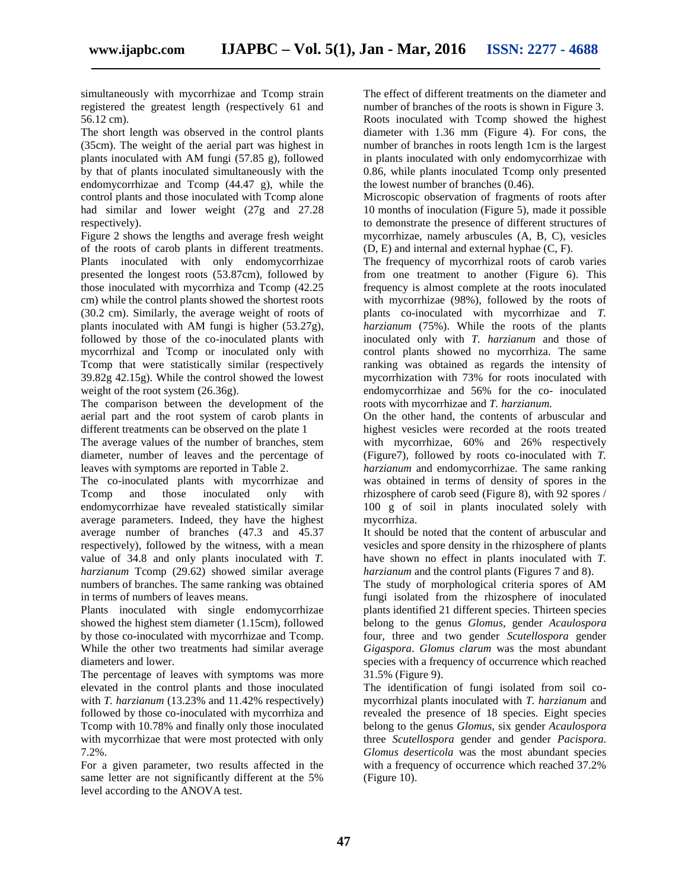simultaneously with mycorrhizae and Tcomp strain registered the greatest length (respectively 61 and 56.12 cm).

The short length was observed in the control plants (35cm). The weight of the aerial part was highest in plants inoculated with AM fungi (57.85 g), followed by that of plants inoculated simultaneously with the endomycorrhizae and Tcomp (44.47 g), while the control plants and those inoculated with Tcomp alone had similar and lower weight (27g and 27.28 respectively).

Figure 2 shows the lengths and average fresh weight of the roots of carob plants in different treatments. Plants inoculated with only endomycorrhizae presented the longest roots (53.87cm), followed by those inoculated with mycorrhiza and Tcomp (42.25 cm) while the control plants showed the shortest roots (30.2 cm). Similarly, the average weight of roots of plants inoculated with AM fungi is higher (53.27g), followed by those of the co-inoculated plants with mycorrhizal and Tcomp or inoculated only with Tcomp that were statistically similar (respectively 39.82g 42.15g). While the control showed the lowest weight of the root system (26.36g).

The comparison between the development of the aerial part and the root system of carob plants in different treatments can be observed on the plate 1

The average values of the number of branches, stem diameter, number of leaves and the percentage of leaves with symptoms are reported in Table 2.

The co-inoculated plants with mycorrhizae and<br>Tromp and those inoculated only with Tcomp and those inoculated only with endomycorrhizae have revealed statistically similar average parameters. Indeed, they have the highest average number of branches (47.3 and 45.37 respectively), followed by the witness, with a mean value of 34.8 and only plants inoculated with *T. harzianum* Tcomp (29.62) showed similar average numbers of branches. The same ranking was obtained in terms of numbers of leaves means.

Plants inoculated with single endomycorrhizae showed the highest stem diameter (1.15cm), followed by those co-inoculated with mycorrhizae and Tcomp. While the other two treatments had similar average diameters and lower.

The percentage of leaves with symptoms was more elevated in the control plants and those inoculated with *T. harzianum* (13.23% and 11.42% respectively) followed by those co-inoculated with mycorrhiza and Tcomp with 10.78% and finally only those inoculated with mycorrhizae that were most protected with only 7.2%.

For a given parameter, two results affected in the same letter are not significantly different at the 5% level according to the ANOVA test.

The effect of different treatments on the diameter and number of branches of the roots is shown in Figure 3. Roots inoculated with Tcomp showed the highest diameter with 1.36 mm (Figure 4). For cons, the number of branches in roots length 1cm is the largest in plants inoculated with only endomycorrhizae with 0.86, while plants inoculated Tcomp only presented the lowest number of branches (0.46).

Microscopic observation of fragments of roots after 10 months of inoculation (Figure 5), made it possible to demonstrate the presence of different structures of mycorrhizae, namely arbuscules (A, B, C), vesicles (D, E) and internal and external hyphae (C, F).

The frequency of mycorrhizal roots of carob varies from one treatment to another (Figure 6). This frequency is almost complete at the roots inoculated with mycorrhizae (98%), followed by the roots of plants co-inoculated with mycorrhizae and *T. harzianum* (75%). While the roots of the plants inoculated only with *T. harzianum* and those of control plants showed no mycorrhiza. The same ranking was obtained as regards the intensity of mycorrhization with 73% for roots inoculated with endomycorrhizae and 56% for the co- inoculated roots with mycorrhizae and *T. harzianum.*

On the other hand, the contents of arbuscular and highest vesicles were recorded at the roots treated with mycorrhizae, 60% and 26% respectively (Figure7), followed by roots co-inoculated with *T. harzianum* and endomycorrhizae. The same ranking was obtained in terms of density of spores in the rhizosphere of carob seed (Figure 8), with 92 spores / 100 g of soil in plants inoculated solely with mycorrhiza.

It should be noted that the content of arbuscular and vesicles and spore density in the rhizosphere of plants have shown no effect in plants inoculated with *T. harzianum* and the control plants (Figures 7 and 8).

The study of morphological criteria spores of AM fungi isolated from the rhizosphere of inoculated plants identified 21 different species. Thirteen species belong to the genus *Glomus*, gender *Acaulospora* four, three and two gender *Scutellospora* gender *Gigaspora*. *Glomus clarum* was the most abundant species with a frequency of occurrence which reached 31.5% (Figure 9).

The identification of fungi isolated from soil co mycorrhizal plants inoculated with *T. harzianum* and revealed the presence of 18 species. Eight species belong to the genus *Glomus*, six gender *Acaulospora* three *Scutellospora* gender and gender *Pacispora. Glomus deserticola* was the most abundant species with a frequency of occurrence which reached 37.2% (Figure 10).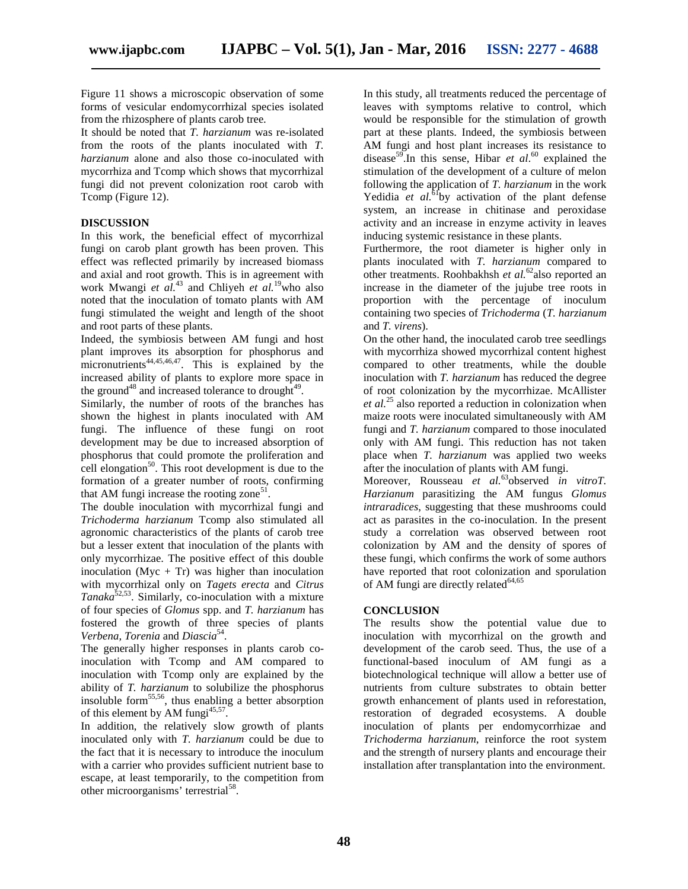Figure 11 shows a microscopic observation of some forms of vesicular endomycorrhizal species isolated from the rhizosphere of plants carob tree.

It should be noted that *T. harzianum* was re-isolated from the roots of the plants inoculated with *T. harzianum* alone and also those co-inoculated with mycorrhiza and Tcomp which shows that mycorrhizal fungi did not prevent colonization root carob with Tcomp (Figure 12).

# **DISCUSSION**

In this work, the beneficial effect of mycorrhizal fungi on carob plant growth has been proven. This effect was reflected primarily by increased biomass and axial and root growth. This is in agreement with work Mwangi *et al.*<sup>43</sup> and Chliyeh *et al.*<sup>19</sup>who also noted that the inoculation of tomato plants with AM fungi stimulated the weight and length of the shoot and root parts of these plants.

Indeed, the symbiosis between AM fungi and host plant improves its absorption for phosphorus and micronutrients $44,45,46,47$ . This is explained by the increased ability of plants to explore more space in the ground<sup>48</sup> and increased tolerance to drought<sup>49</sup>.

Similarly, the number of roots of the branches has shown the highest in plants inoculated with AM fungi. The influence of these fungi on root development may be due to increased absorption of phosphorus that could promote the proliferation and cell elongation<sup>50</sup>. This root development is due to the formation of a greater number of roots, confirming that AM fungi increase the rooting zone<sup>51</sup>.

The double inoculation with mycorrhizal fungi and *Trichoderma harzianum* Tcomp also stimulated all agronomic characteristics of the plants of carob tree but a lesser extent that inoculation of the plants with only mycorrhizae. The positive effect of this double inoculation (Myc + Tr) was higher than inoculation with mycorrhizal only on *Tagets erecta* and *Citrus Tanaka*52,53. Similarly, co-inoculation with a mixture of four species of *Glomus* spp. and *T. harzianum* has fostered the growth of three species of plants *Verbena, Torenia* and *Diascia*<sup>54</sup> .

The generally higher responses in plants carob coinoculation with Tcomp and AM compared to inoculation with Tcomp only are explained by the ability of *T. harzianum* to solubilize the phosphorus insoluble form<sup>55,56</sup>, thus enabling a better absorption of this element by AM fungi<sup>45,57</sup>.

In addition, the relatively slow growth of plants inoculated only with *T. harzianum* could be due to the fact that it is necessary to introduce the inoculum with a carrier who provides sufficient nutrient base to escape, at least temporarily, to the competition from other microorganisms' terrestrial<sup>58</sup>.

In this study, all treatments reduced the percentage of leaves with symptoms relative to control, which would be responsible for the stimulation of growth part at these plants. Indeed, the symbiosis between AM fungi and host plant increases its resistance to disease<sup>59</sup>.In this sense, Hibar *et al*.<sup>60</sup> explained the stimulation of the development of a culture of melon following the application of *T. harzianum* in the work Yedidia *et al.*<sup>61</sup>by activation of the plant defense system, an increase in chitinase and peroxidase activity and an increase in enzyme activity in leaves inducing systemic resistance in these plants.

Furthermore, the root diameter is higher only in plants inoculated with *T. harzianum* compared to other treatments. Roohbakhsh *et al.*<sup>62</sup>also reported an increase in the diameter of the jujube tree roots in proportion with the percentage of inoculum containing two species of *Trichoderma* (*T. harzianum* and *T. virens*).

On the other hand, the inoculated carob tree seedlings with mycorrhiza showed mycorrhizal content highest compared to other treatments, while the double inoculation with *T. harzianum* has reduced the degree of root colonization by the mycorrhizae. McAllister *et al.*<sup>25</sup> also reported a reduction in colonization when maize roots were inoculated simultaneously with AM fungi and *T. harzianum* compared to those inoculated only with AM fungi. This reduction has not taken place when *T. harzianum* was applied two weeks after the inoculation of plants with AM fungi.

Moreover, Rousseau *et al.*<sup>63</sup>observed *in vitroT. Harzianum* parasitizing the AM fungus *Glomus intraradices*, suggesting that these mushrooms could act as parasites in the co-inoculation. In the present study a correlation was observed between root colonization by AM and the density of spores of these fungi, which confirms the work of some authors have reported that root colonization and sporulation of AM fungi are directly related<sup>64,65</sup>

# **CONCLUSION**

The results show the potential value due to inoculation with mycorrhizal on the growth and development of the carob seed. Thus, the use of a functional-based inoculum of AM fungi as a biotechnological technique will allow a better use of nutrients from culture substrates to obtain better growth enhancement of plants used in reforestation, restoration of degraded ecosystems. A double inoculation of plants per endomycorrhizae and *Trichoderma harzianum*, reinforce the root system and the strength of nursery plants and encourage their installation after transplantation into the environment.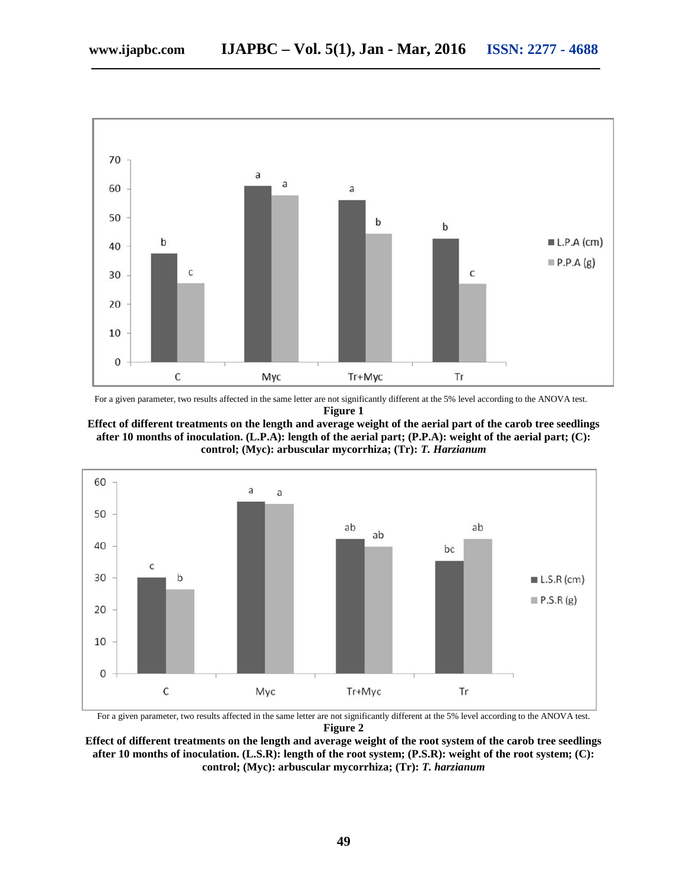

For a given parameter, two results affected in the same letter are not significantly different at the 5% level according to the ANOVA test. **Figure 1**





For a given parameter, two results affected in the same letter are not significantly different at the 5% level according to the ANOVA test. **Figure 2**

**Effect of different treatments on the length and average weight of the root system of the carob tree seedlings after 10 months of inoculation. (L.S.R): length of the root system; (P.S.R): weight of the root system; (C): control; (Myc): arbuscular mycorrhiza; (Tr):** *T. harzianum*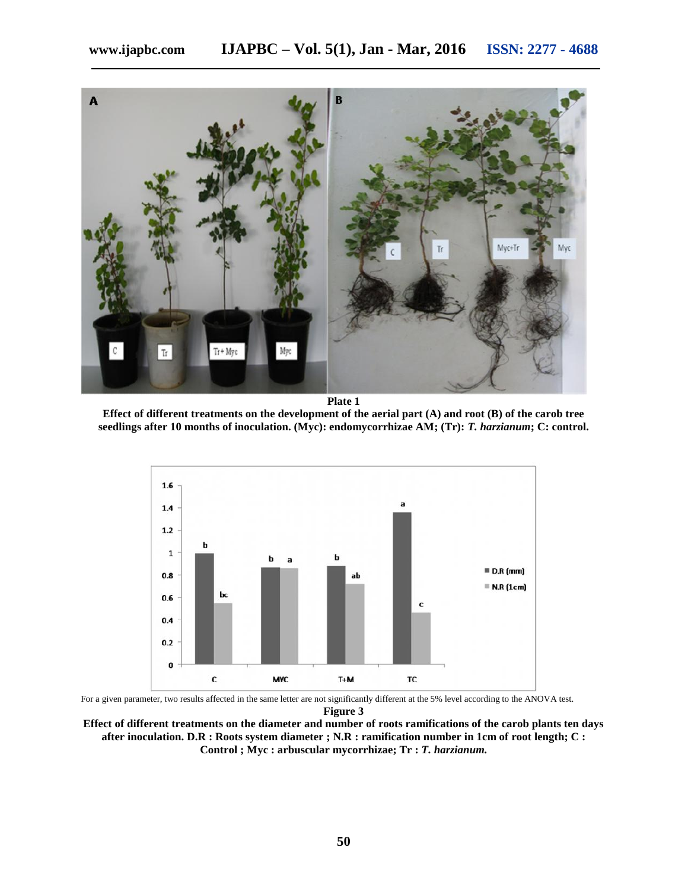

**Plate 1**

**Effect of different treatments on the development of the aerial part (A) and root (B) of the carob tree seedlings after 10 months of inoculation. (Myc): endomycorrhizae AM; (Tr):** *T. harzianum***; C: control.**



For a given parameter, two results affected in the same letter are not significantly different at the 5% level according to the ANOVA test.

**Figure 3**

**Effect of different treatments on the diameter and number of roots ramifications of the carob plants ten days after inoculation. D.R : Roots system diameter ; N.R : ramification number in 1cm of root length; C : Control ; Myc : arbuscular mycorrhizae; Tr :** *T. harzianum.*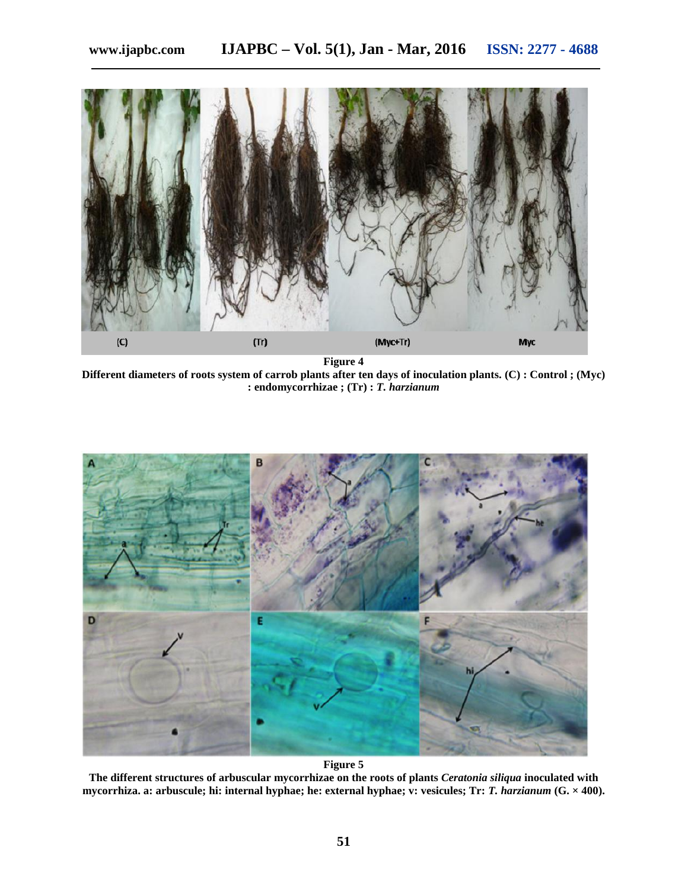

**Figure 4**

**Different diameters of roots system of carrob plants after ten days of inoculation plants. (C) : Control ; (Myc) : endomycorrhizae ; (Tr) :** *T. harzianum*



**Figure 5**

**The different structures of arbuscular mycorrhizae on the roots of plants** *Ceratonia siliqua* **inoculated with mycorrhiza. a: arbuscule; hi: internal hyphae; he: external hyphae; v: vesicules; Tr:** *T. harzianum* **(G. × 400).**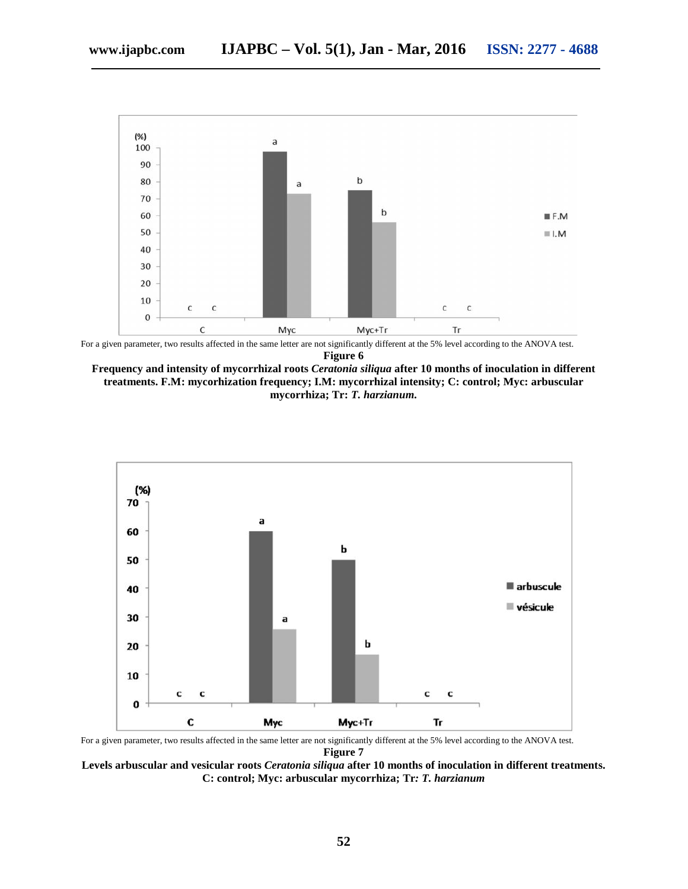

For a given parameter, two results affected in the same letter are not significantly different at the 5% level according to the ANOVA test. **Figure 6**





For a given parameter, two results affected in the same letter are not significantly different at the 5% level according to the ANOVA test. **Figure 7**

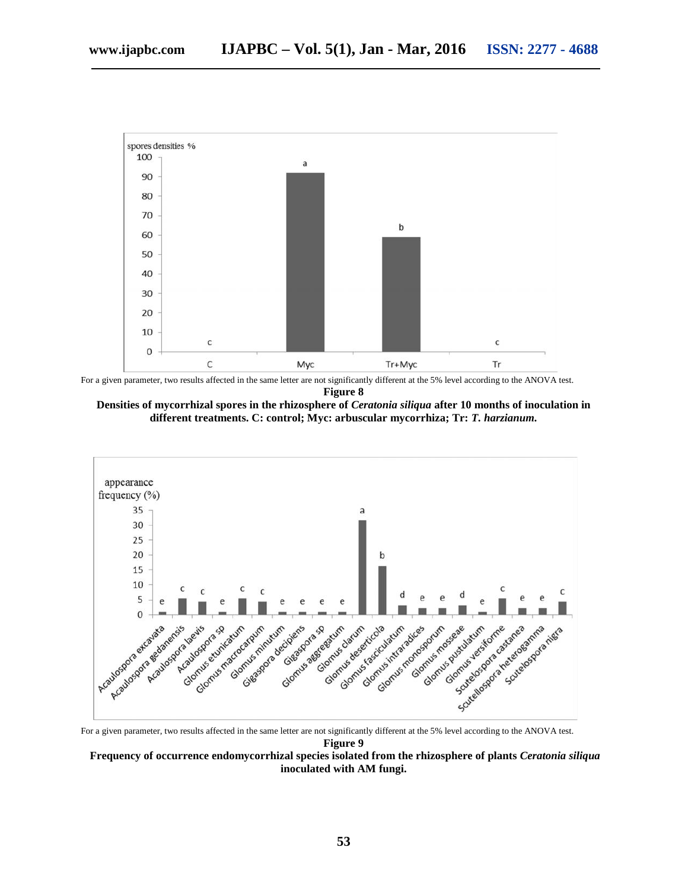

For a given parameter, two results affected in the same letter are not significantly different at the 5% level according to the ANOVA test. **Figure 8**





For a given parameter, two results affected in the same letter are not significantly different at the 5% level according to the ANOVA test. **Figure 9**

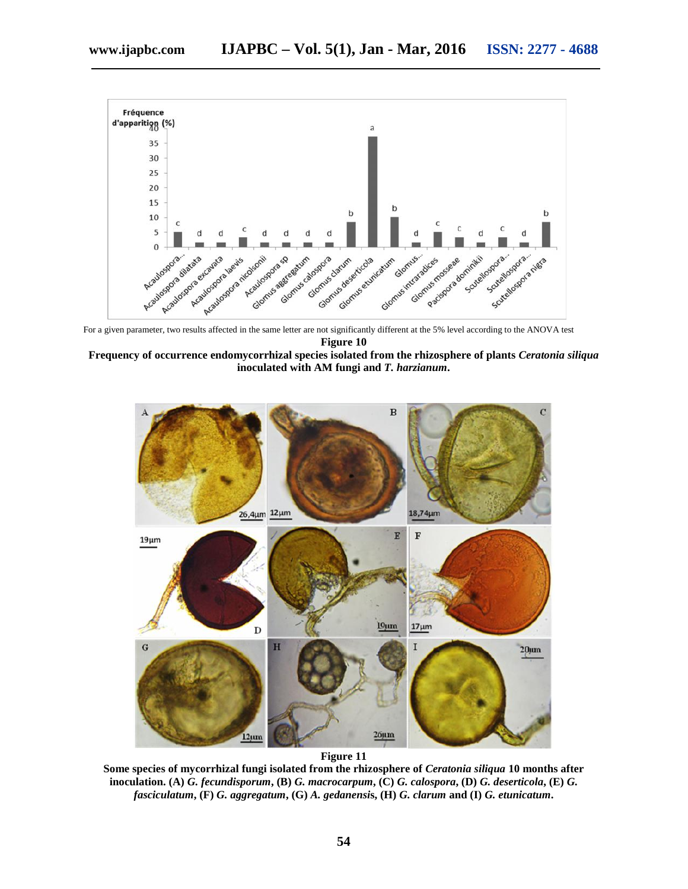

For a given parameter, two results affected in the same letter are not significantly different at the 5% level according to the ANOVA test **Figure 10**





**Figure 11**

**Some species of mycorrhizal fungi isolated from the rhizosphere of** *Ceratonia siliqua* **10 months after inoculation. (A)** *G. fecundisporum***, (B)** *G. macrocarpum***, (C)** *G. calospora***, (D)** *G. deserticola***, (E)** *G. fasciculatum***, (F)** *G. aggregatum***, (G)** *A. gedanensi***s, (H)** *G. clarum* **and (I)** *G. etunicatum***.**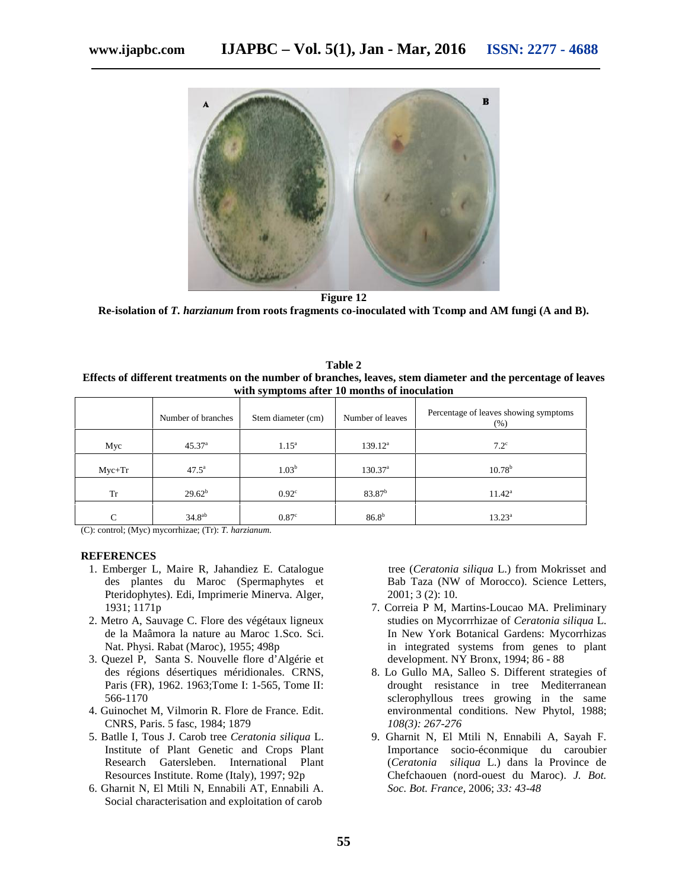

**Figure 12 Re-isolation of** *T. harzianum* **from roots fragments co-inoculated with Tcomp and AM fungi (A and B).**

| Table 2                                                                                                       |  |  |  |  |  |  |
|---------------------------------------------------------------------------------------------------------------|--|--|--|--|--|--|
| Effects of different treatments on the number of branches, leaves, stem diameter and the percentage of leaves |  |  |  |  |  |  |
| with symptoms after 10 months of inoculation                                                                  |  |  |  |  |  |  |

|               | Number of branches | Stem diameter (cm) | Number of leaves    | Percentage of leaves showing symptoms<br>(% ) |
|---------------|--------------------|--------------------|---------------------|-----------------------------------------------|
| Myc           | $45.37^{\circ}$    | $1.15^{\rm a}$     | $139.12^a$          | $7.2^{\circ}$                                 |
| $Myc+Tr$      | $47.5^{\circ}$     | 1.03 <sup>b</sup>  | 130.37 <sup>a</sup> | $10.78^{b}$                                   |
| <b>Tr</b>     | $29.62^b$          | $0.92^{\circ}$     | $83.87^b$           | $11.42^{\rm a}$                               |
| $\mathcal{C}$ | 34.8 <sup>ab</sup> | 0.87 <sup>c</sup>  | $86.8^{b}$          | $13.23^a$                                     |

(C): control; (Myc) mycorrhizae; (Tr): *T. harzianum.*

# **REFERENCES**

- 1. Emberger L, Maire R, Jahandiez E. Catalogue des plantes du Maroc (Spermaphytes et Pteridophytes). Edi, Imprimerie Minerva. Alger, 1931; 1171p
- 2. Metro A, Sauvage C. Flore des végétaux ligneux de la Maâmora la nature au Maroc 1.Sco. Sci. Nat. Physi. Rabat (Maroc), 1955; 498p
- 3. Quezel P, Santa S. Nouvelle flore d'Algérie et des régions désertiques méridionales. CRNS, Paris (FR), 1962. 1963;Tome I: 1-565, Tome II: 566-1170
- 4. Guinochet M, Vilmorin R. Flore de France. Edit. CNRS, Paris. 5 fasc, 1984; 1879
- 5. Batlle I, Tous J. Carob tree *Ceratonia siliqua* L. Institute of Plant Genetic and Crops Plant Research Gatersleben. International Plant Resources Institute. Rome (Italy), 1997; 92p
- 6. Gharnit N, El Mtili N, Ennabili AT, Ennabili A. Social characterisation and exploitation of carob

tree (*Ceratonia siliqua* L.) from Mokrisset and Bab Taza (NW of Morocco). Science Letters, 2001; 3 (2): 10.

- 7. Correia P M, Martins-Loucao MA. Preliminary studies on Mycorrrhizae of *Ceratonia siliqua* L. In New York Botanical Gardens: Mycorrhizas in integrated systems from genes to plant development. NY Bronx, 1994; 86 - 88
- 8. Lo Gullo MA, Salleo S. Different strategies of drought resistance in tree Mediterranean sclerophyllous trees growing in the same environmental conditions. New Phytol, 1988; *108(3): 267-276*
- 9. Gharnit N, El Mtili N, Ennabili A, Sayah F. Importance socio-éconmique du caroubier (*Ceratonia siliqua* L.) dans la Province de Chefchaouen (nord-ouest du Maroc). *J. Bot. Soc. Bot. France,* 2006; *33: 43-48*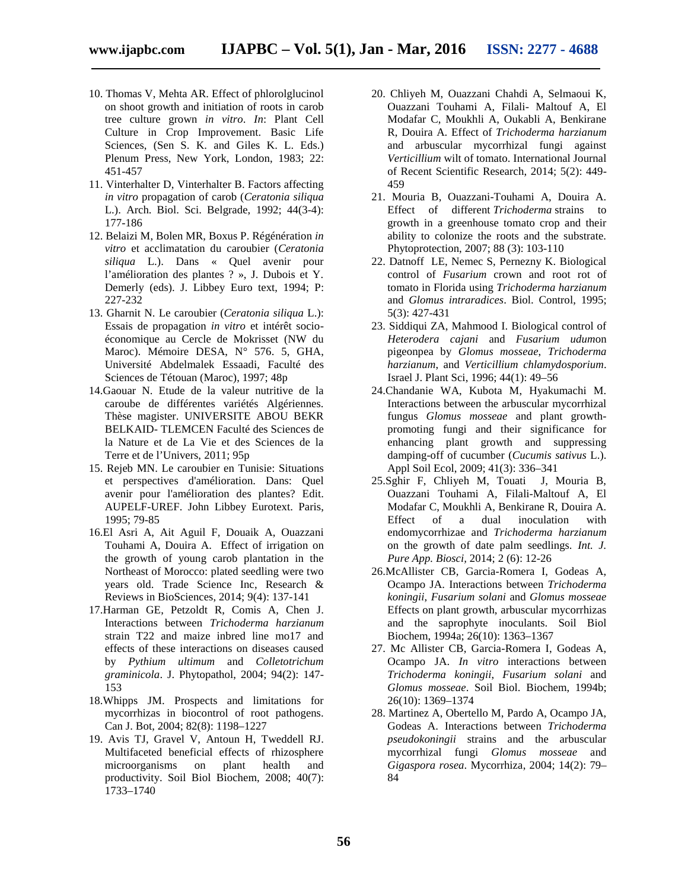- 
- 10. Thomas V, Mehta AR. Effect of phlorolglucinol on shoot growth and initiation of roots in carob tree culture grown *in vitro*. *In*: Plant Cell Culture in Crop Improvement. Basic Life Sciences, (Sen S. K. and Giles K. L. Eds.) Plenum Press, New York, London, 1983; 22: 451-457
- 11. Vinterhalter D, Vinterhalter B. Factors affecting *in vitro* propagation of carob (*Ceratonia siliqua* L.). Arch. Biol. Sci. Belgrade, 1992; 44(3-4): 177-186
- 12. Belaizi M, Bolen MR, Boxus P. Régénération *in vitro* et acclimatation du caroubier (*Ceratonia siliqua* L.). Dans « Quel avenir pour l'amélioration des plantes ? », J. Dubois et Y. Demerly (eds). J. Libbey Euro text, 1994; P: 227-232
- 13. Gharnit N. Le caroubier (*Ceratonia siliqua* L.): Essais de propagation *in vitro* et intérêt socio économique au Cercle de Mokrisset (NW du Maroc). Mémoire DESA, N° 576. 5, GHA, Université Abdelmalek Essaadi, Faculté des Sciences de Tétouan (Maroc), 1997; 48p
- 14.Gaouar N. Etude de la valeur nutritive de la caroube de différentes variétés Algériennes. Thèse magister. UNIVERSITE ABOU BEKR BELKAID- TLEMCEN Faculté des Sciences de la Nature et de La Vie et des Sciences de la Terre et de l'Univers, 2011; 95p
- 15. Rejeb MN. Le caroubier en Tunisie: Situations et perspectives d'amélioration. Dans: Quel avenir pour l'amélioration des plantes? Edit. AUPELF-UREF. John Libbey Eurotext. Paris, 1995; 79-85
- 16.El Asri A, Ait Aguil F, Douaik A, Ouazzani Touhami A, Douira A. Effect of irrigation on the growth of young carob plantation in the Northeast of Morocco: plated seedling were two years old. Trade Science Inc, Research & Reviews in BioSciences, 2014; 9(4): 137-141
- 17.Harman GE, Petzoldt R, Comis A, Chen J. Interactions between *Trichoderma harzianum* strain T22 and maize inbred line mo17 and effects of these interactions on diseases caused by *Pythium ultimum* and *Colletotrichum graminicola*. J. Phytopathol, 2004; 94(2): 147- 153
- 18.Whipps JM. Prospects and limitations for mycorrhizas in biocontrol of root pathogens. Can J. Bot, 2004; 82(8): 1198–1227
- 19. Avis TJ, Gravel V, Antoun H, Tweddell RJ. Multifaceted beneficial effects of rhizosphere microorganisms on plant health and productivity. Soil Biol Biochem, 2008; 40(7): 1733–1740
- 20. Chliyeh M, Ouazzani Chahdi A, Selmaoui K, Ouazzani Touhami A, Filali- Maltouf A, El Modafar C, Moukhli A, Oukabli A, Benkirane R, Douira A. Effect of *Trichoderma harzianum* and arbuscular mycorrhizal fungi against *Verticillium* wilt of tomato. International Journal of Recent Scientific Research, 2014; 5(2): 449- 459
- 21. Mouria B, Ouazzani-Touhami A, Douira A. Effect of different *Trichoderma* strains to growth in a greenhouse tomato crop and their ability to colonize the roots and the substrate. Phytoprotection, 2007; 88 (3): 103-110
- 22. Datnoff LE, Nemec S, Pernezny K. Biological control of *Fusarium* crown and root rot of tomato in Florida using *Trichoderma harzianum* and *Glomus intraradices*. Biol. Control, 1995; 5(3): 427-431
- 23. Siddiqui ZA, Mahmood I. Biological control of *Heterodera cajani* and *Fusarium udum*on pigeonpea by *Glomus mosseae*, *Trichoderma harzianum*, and *Verticillium chlamydosporium*. Israel J. Plant Sci, 1996; 44(1): 49–56
- 24.Chandanie WA, Kubota M, Hyakumachi M. Interactions between the arbuscular mycorrhizal fungus *Glomus mosseae* and plant growth promoting fungi and their significance for enhancing plant growth and suppressing damping-off of cucumber (*Cucumis sativus* L.). Appl Soil Ecol, 2009; 41(3): 336–341
- 25.Sghir F, Chliyeh M, Touati J, Mouria B, Ouazzani Touhami A, Filali-Maltouf A, El Modafar C, Moukhli A, Benkirane R, Douira A. Effect of a dual inoculation with endomycorrhizae and *Trichoderma harzianum* on the growth of date palm seedlings. *Int. J. Pure App. Biosci,* 2014; 2 (6): 12-26
- 26.McAllister CB, Garcia-Romera I, Godeas A, Ocampo JA. Interactions between *Trichoderma koningii*, *Fusarium solani* and *Glomus mosseae* Effects on plant growth, arbuscular mycorrhizas and the saprophyte inoculants. Soil Biol Biochem, 1994a; 26(10): 1363–1367
- 27. Mc Allister CB, Garcia-Romera I, Godeas A, Ocampo JA. *In vitro* interactions between *Trichoderma koningii*, *Fusarium solani* and *Glomus mosseae*. Soil Biol. Biochem, 1994b; 26(10): 1369–1374
- 28. Martinez A, Obertello M, Pardo A, Ocampo JA, Godeas A. Interactions between *Trichoderma pseudokoningii* strains and the arbuscular mycorrhizal fungi *Glomus mosseae* and *Gigaspora rosea*. Mycorrhiza, 2004; 14(2): 79– 84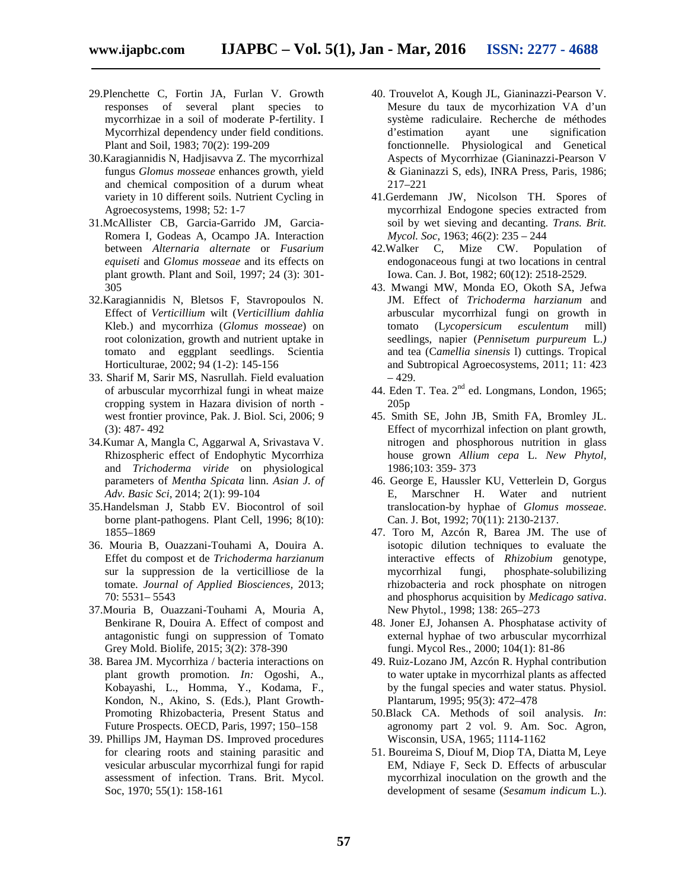- 29.Plenchette C, Fortin JA, Furlan V. Growth responses of several plant species to mycorrhizae in a soil of moderate P-fertility. I Mycorrhizal dependency under field conditions. Plant and Soil, 1983; 70(2): 199-209
- 30.Karagiannidis N, Hadjisavva Z. The mycorrhizal fungus *Glomus mosseae* enhances growth, yield and chemical composition of a durum wheat variety in 10 different soils. Nutrient Cycling in Agroecosystems, 1998; 52: 1-7
- 31.McAllister CB, Garcia-Garrido JM, Garcia- Romera I, Godeas A, Ocampo JA. Interaction between *Alternaria alternate* or *Fusarium equiseti* and *Glomus mosseae* and its effects on plant growth. Plant and Soil, 1997; 24 (3): 301- 305
- 32.Karagiannidis N, Bletsos F, Stavropoulos N. Effect of *Verticillium* wilt (*Verticillium dahlia* Kleb.) and mycorrhiza (*Glomus mosseae*) on root colonization, growth and nutrient uptake in tomato and eggplant seedlings. Scientia Horticulturae, 2002; 94 (1-2): 145-156
- 33. Sharif M, Sarir MS, Nasrullah. Field evaluation of arbuscular mycorrhizal fungi in wheat maize cropping system in Hazara division of north west frontier province, Pak. J. Biol. Sci, 2006; 9 (3): 487- 492
- 34.Kumar A, Mangla C, Aggarwal A, Srivastava V. Rhizospheric effect of Endophytic Mycorrhiza and *Trichoderma viride* on physiological parameters of *Mentha Spicata* linn. *Asian J. of Adv. Basic Sci,* 2014; 2(1): 99-104
- 35.Handelsman J, Stabb EV. Biocontrol of soil borne plant-pathogens. Plant Cell, 1996; 8(10): 1855–1869
- 36. Mouria B, Ouazzani-Touhami A, Douira A. Effet du compost et de *Trichoderma harzianum* sur la suppression de la verticilliose de la tomate. *Journal of Applied Biosciences,* 2013; 70: 5531– 5543
- 37.Mouria B, Ouazzani-Touhami A, Mouria A, Benkirane R, Douira A. Effect of compost and antagonistic fungi on suppression of Tomato Grey Mold. Biolife, 2015; 3(2): 378-390
- 38. Barea JM. Mycorrhiza / bacteria interactions on plant growth promotion. *In:* Ogoshi, A., Kobayashi, L., Homma, Y., Kodama, F., Kondon, N., Akino, S. (Eds.), Plant Growth- Promoting Rhizobacteria, Present Status and Future Prospects. OECD, Paris, 1997; 150–158
- 39. Phillips JM, Hayman DS. Improved procedures for clearing roots and staining parasitic and vesicular arbuscular mycorrhizal fungi for rapid assessment of infection. Trans. Brit. Mycol. Soc, 1970; 55(1): 158-161
- 40. Trouvelot A, Kough JL, Gianinazzi-Pearson V. Mesure du taux de mycorhization VA d'un système radiculaire. Recherche de méthodes d'estimation ayant une signification fonctionnelle. Physiological and Genetical Aspects of Mycorrhizae (Gianinazzi-Pearson V & Gianinazzi S, eds), INRA Press, Paris, 1986; 217–221
- 41.Gerdemann JW, Nicolson TH. Spores of mycorrhizal Endogone species extracted from soil by wet sieving and decanting. *Trans. Brit. Mycol. Soc*, 1963; 46(2): 235 – 244
- 42.Walker C, Mize CW. Population of endogonaceous fungi at two locations in central Iowa. Can. J. Bot, 1982; 60(12): 2518-2529.
- 43. Mwangi MW, Monda EO, Okoth SA, Jefwa JM. Effect of *Trichoderma harzianum* and arbuscular mycorrhizal fungi on growth in tomato (L*ycopersicum esculentum* mill) seedlings, napier (*Pennisetum purpureum* L.*)* and tea (C*amellia sinensis* l) cuttings. Tropical and Subtropical Agroecosystems, 2011; 11: 423  $-429.$
- 44. Eden T. Tea. 2<sup>nd</sup> ed. Longmans, London, 1965; 205p
- 45. Smith SE, John JB, Smith FA, Bromley JL. Effect of mycorrhizal infection on plant growth, nitrogen and phosphorous nutrition in glass house grown *Allium cepa* L. *New Phytol,* 1986;103: 359- 373
- 46. George E, Haussler KU, Vetterlein D, Gorgus E, Marschner H. Water and nutrient translocation-by hyphae of *Glomus mosseae*. Can. J. Bot, 1992; 70(11): 2130-2137.
- 47. Toro M, Azcón R, Barea JM. The use of isotopic dilution techniques to evaluate the interactive effects of *Rhizobium* genotype, mycorrhizal fungi, phosphate-solubilizing rhizobacteria and rock phosphate on nitrogen and phosphorus acquisition by *Medicago sativa*. New Phytol., 1998; 138: 265–273
- 48. Joner EJ, Johansen A. Phosphatase activity of external hyphae of two arbuscular mycorrhizal fungi. Mycol Res., 2000; 104(1): 81-86
- 49. Ruiz-Lozano JM, Azcón R. Hyphal contribution to water uptake in mycorrhizal plants as affected by the fungal species and water status. Physiol. Plantarum, 1995; 95(3): 472–478
- 50.Black CA. Methods of soil analysis. *In*: agronomy part 2 vol. 9. Am. Soc. Agron, Wisconsin, USA, 1965; 1114-1162
- 51. Boureima S, Diouf M, Diop TA, Diatta M, Leye EM, Ndiaye F, Seck D. Effects of arbuscular mycorrhizal inoculation on the growth and the development of sesame (*Sesamum indicum* L.).